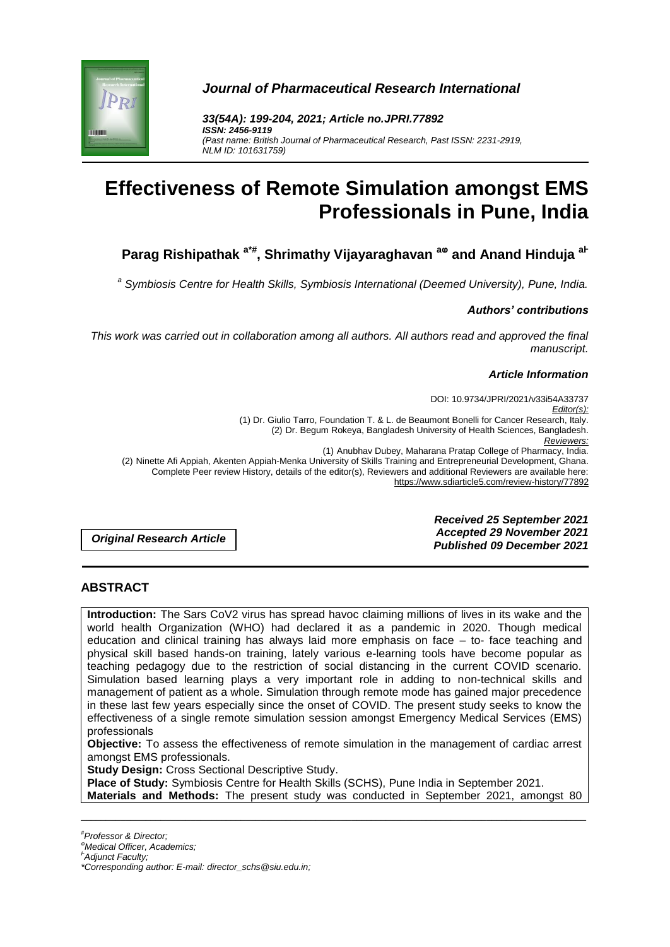

*Journal of Pharmaceutical Research International*

*33(54A): 199-204, 2021; Article no.JPRI.77892 ISSN: 2456-9119 (Past name: British Journal of Pharmaceutical Research, Past ISSN: 2231-2919, NLM ID: 101631759)*

# **Effectiveness of Remote Simulation amongst EMS Professionals in Pune, India**

**Parag Rishipathak a\*# , Shrimathy Vijayaraghavan aⱷ and Anand Hinduja aⱵ**

*a Symbiosis Centre for Health Skills, Symbiosis International (Deemed University), Pune, India.*

*Authors' contributions*

*This work was carried out in collaboration among all authors. All authors read and approved the final manuscript.*

#### *Article Information*

DOI: 10.9734/JPRI/2021/v33i54A33737 *Editor(s):* (1) Dr. Giulio Tarro, Foundation T. & L. de Beaumont Bonelli for Cancer Research, Italy. (2) Dr. Begum Rokeya, Bangladesh University of Health Sciences, Bangladesh. *Reviewers:* (1) Anubhav Dubey, Maharana Pratap College of Pharmacy, India. (2) Ninette Afi Appiah, Akenten Appiah-Menka University of Skills Training and Entrepreneurial Development, Ghana. Complete Peer review History, details of the editor(s), Reviewers and additional Reviewers are available here: https://www.sdiarticle5.com/review-history/77892

*Original Research Article*

*Received 25 September 2021 Accepted 29 November 2021 Published 09 December 2021*

# **ABSTRACT**

**Introduction:** The Sars CoV2 virus has spread havoc claiming millions of lives in its wake and the world health Organization (WHO) had declared it as a pandemic in 2020. Though medical education and clinical training has always laid more emphasis on face – to- face teaching and physical skill based hands-on training, lately various e-learning tools have become popular as teaching pedagogy due to the restriction of social distancing in the current COVID scenario. Simulation based learning plays a very important role in adding to non-technical skills and management of patient as a whole. Simulation through remote mode has gained major precedence in these last few years especially since the onset of COVID. The present study seeks to know the effectiveness of a single remote simulation session amongst Emergency Medical Services (EMS) professionals

**Objective:** To assess the effectiveness of remote simulation in the management of cardiac arrest amongst EMS professionals.

**Study Design:** Cross Sectional Descriptive Study.

**Place of Study:** Symbiosis Centre for Health Skills (SCHS), Pune India in September 2021.

\_\_\_\_\_\_\_\_\_\_\_\_\_\_\_\_\_\_\_\_\_\_\_\_\_\_\_\_\_\_\_\_\_\_\_\_\_\_\_\_\_\_\_\_\_\_\_\_\_\_\_\_\_\_\_\_\_\_\_\_\_\_\_\_\_\_\_\_\_\_\_\_\_\_\_\_\_\_\_\_\_\_\_\_\_\_\_\_\_\_\_\_\_\_\_\_\_\_\_\_\_ **Materials and Methods:** The present study was conducted in September 2021, amongst 80

*#Professor & Director;*

*<sup>ⱷ</sup>Medical Officer, Academics;*

*<sup>Ⱶ</sup>Adjunct Faculty;*

*\*Corresponding author: E-mail: director\_schs@siu.edu.in;*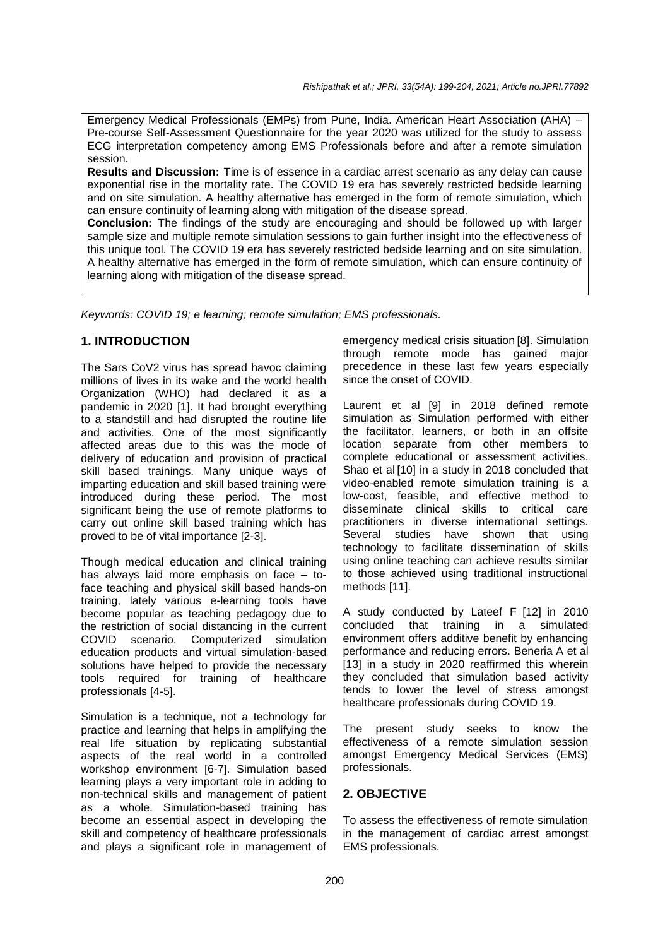Emergency Medical Professionals (EMPs) from Pune, India. American Heart Association (AHA) – Pre-course Self-Assessment Questionnaire for the year 2020 was utilized for the study to assess ECG interpretation competency among EMS Professionals before and after a remote simulation session.

**Results and Discussion:** Time is of essence in a cardiac arrest scenario as any delay can cause exponential rise in the mortality rate. The COVID 19 era has severely restricted bedside learning and on site simulation. A healthy alternative has emerged in the form of remote simulation, which can ensure continuity of learning along with mitigation of the disease spread.

**Conclusion:** The findings of the study are encouraging and should be followed up with larger sample size and multiple remote simulation sessions to gain further insight into the effectiveness of this unique tool. The COVID 19 era has severely restricted bedside learning and on site simulation. A healthy alternative has emerged in the form of remote simulation, which can ensure continuity of learning along with mitigation of the disease spread.

*Keywords: COVID 19; e learning; remote simulation; EMS professionals.*

# **1. INTRODUCTION**

The Sars CoV2 virus has spread havoc claiming millions of lives in its wake and the world health Organization (WHO) had declared it as a pandemic in 2020 [1]. It had brought everything to a standstill and had disrupted the routine life and activities. One of the most significantly affected areas due to this was the mode of delivery of education and provision of practical skill based trainings. Many unique ways of imparting education and skill based training were introduced during these period. The most significant being the use of remote platforms to carry out online skill based training which has proved to be of vital importance [2-3].

Though medical education and clinical training has always laid more emphasis on face – toface teaching and physical skill based hands-on training, lately various e-learning tools have become popular as teaching pedagogy due to the restriction of social distancing in the current COVID scenario. Computerized simulation education products and virtual simulation-based solutions have helped to provide the necessary tools required for training of healthcare professionals [4-5].

Simulation is a technique, not a technology for practice and learning that helps in amplifying the real life situation by replicating substantial aspects of the real world in a controlled workshop environment [6-7]. Simulation based learning plays a very important role in adding to non-technical skills and management of patient as a whole. Simulation-based training has become an essential aspect in developing the skill and competency of healthcare professionals and plays a significant role in management of

emergency medical crisis situation [8]. Simulation through remote mode has gained major precedence in these last few years especially since the onset of COVID.

Laurent et al [9] in 2018 defined remote simulation as Simulation performed with either the facilitator, learners, or both in an offsite location separate from other members to complete educational or assessment activities. Shao et al [10] in a study in 2018 concluded that video-enabled remote simulation training is a low-cost, feasible, and effective method to disseminate clinical skills to critical care practitioners in diverse international settings. Several studies have shown that using technology to facilitate dissemination of skills using online teaching can achieve results similar to those achieved using traditional instructional methods [11].

A study conducted by Lateef F [12] in 2010 concluded that training in a simulated environment offers additive benefit by enhancing performance and reducing errors. Beneria A et al [13] in a study in 2020 reaffirmed this wherein they concluded that simulation based activity tends to lower the level of stress amongst healthcare professionals during COVID 19.

The present study seeks to know the effectiveness of a remote simulation session amongst Emergency Medical Services (EMS) professionals.

# **2. OBJECTIVE**

To assess the effectiveness of remote simulation in the management of cardiac arrest amongst EMS professionals.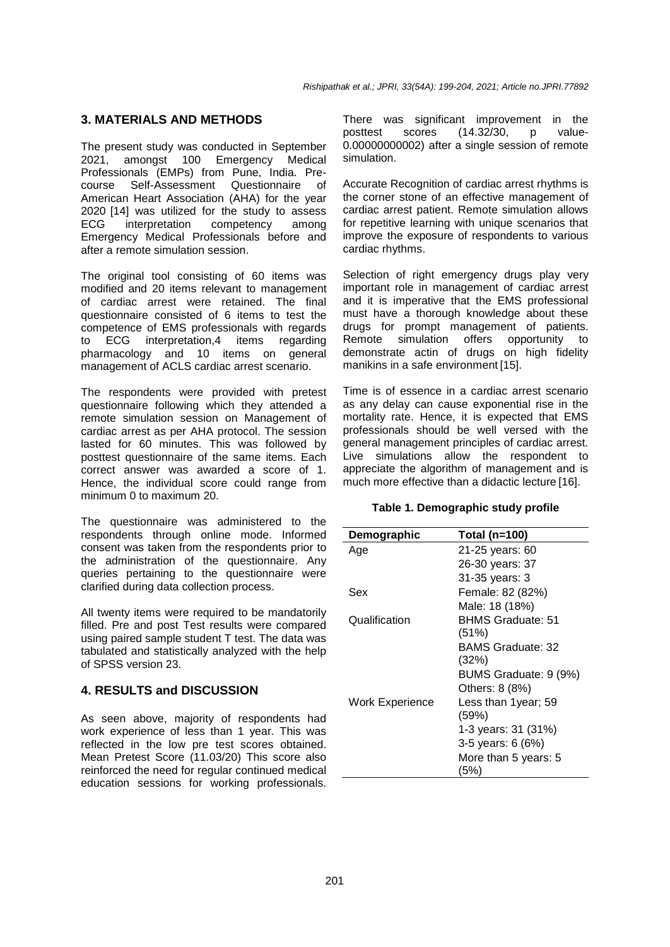# **3. MATERIALS AND METHODS**

The present study was conducted in September 2021, amongst 100 Emergency Medical Professionals (EMPs) from Pune, India. Precourse Self-Assessment Questionnaire of American Heart Association (AHA) for the year 2020 [14] was utilized for the study to assess ECG interpretation competency among Emergency Medical Professionals before and after a remote simulation session.

The original tool consisting of 60 items was modified and 20 items relevant to management of cardiac arrest were retained. The final questionnaire consisted of 6 items to test the competence of EMS professionals with regards to ECG interpretation,4 items regarding pharmacology and 10 items on general management of ACLS cardiac arrest scenario.

The respondents were provided with pretest questionnaire following which they attended a remote simulation session on Management of cardiac arrest as per AHA protocol. The session lasted for 60 minutes. This was followed by posttest questionnaire of the same items. Each correct answer was awarded a score of 1. Hence, the individual score could range from minimum 0 to maximum 20.

The questionnaire was administered to the respondents through online mode. Informed consent was taken from the respondents prior to the administration of the questionnaire. Any queries pertaining to the questionnaire were clarified during data collection process.

All twenty items were required to be mandatorily filled. Pre and post Test results were compared using paired sample student T test. The data was tabulated and statistically analyzed with the help of SPSS version 23.

# **4. RESULTS and DISCUSSION**

As seen above, majority of respondents had work experience of less than 1 year. This was reflected in the low pre test scores obtained. Mean Pretest Score (11.03/20) This score also reinforced the need for regular continued medical education sessions for working professionals.

There was significant improvement in the posttest scores (14.32/30, p value-0.00000000002) after a single session of remote simulation.

Accurate Recognition of cardiac arrest rhythms is the corner stone of an effective management of cardiac arrest patient. Remote simulation allows for repetitive learning with unique scenarios that improve the exposure of respondents to various cardiac rhythms.

Selection of right emergency drugs play very important role in management of cardiac arrest and it is imperative that the EMS professional must have a thorough knowledge about these drugs for prompt management of patients. Remote simulation offers opportunity to demonstrate actin of drugs on high fidelity manikins in a safe environment [15].

Time is of essence in a cardiac arrest scenario as any delay can cause exponential rise in the mortality rate. Hence, it is expected that EMS professionals should be well versed with the general management principles of cardiac arrest. Live simulations allow the respondent to appreciate the algorithm of management and is much more effective than a didactic lecture [16].

#### **Table 1. Demographic study profile**

| Demographic     | Total (n=100)                |
|-----------------|------------------------------|
| Age             | 21-25 years: 60              |
|                 | 26-30 years: 37              |
|                 | 31-35 years: 3               |
| Sex             | Female: 82 (82%)             |
|                 | Male: 18 (18%)               |
| Qualification   | <b>BHMS Graduate: 51</b>     |
|                 | (51%)                        |
|                 | <b>BAMS Graduate: 32</b>     |
|                 | (32%)                        |
|                 | BUMS Graduate: 9 (9%)        |
|                 | Others: 8 (8%)               |
| Work Experience | Less than 1year; 59<br>(59%) |
|                 |                              |
|                 | 1-3 years: 31 (31%)          |
|                 | 3-5 years: 6 (6%)            |
|                 | More than 5 years: 5         |
|                 | (5%)                         |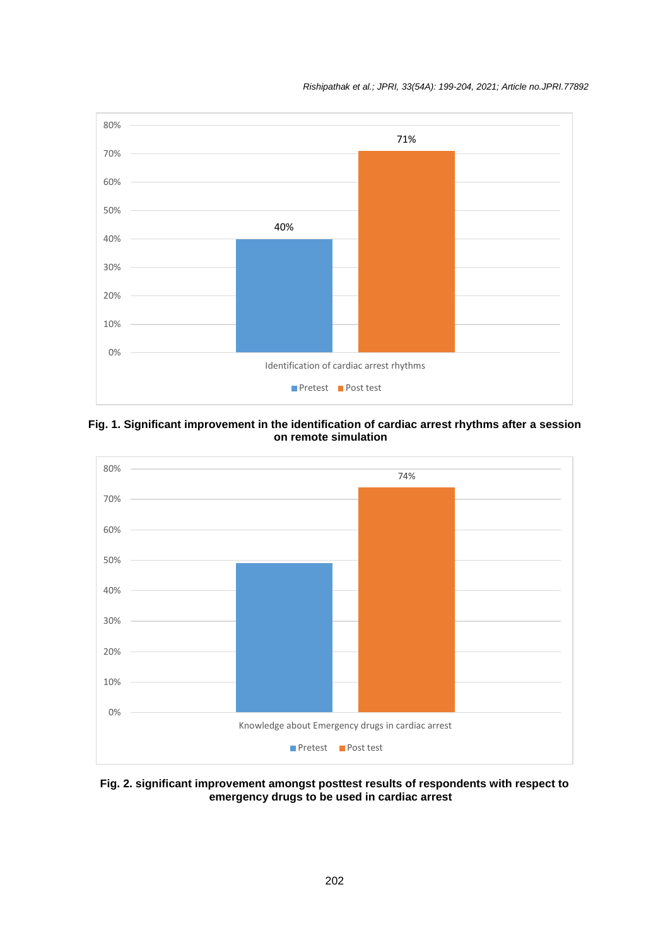*Rishipathak et al.; JPRI, 33(54A): 199-204, 2021; Article no.JPRI.77892*



**Fig. 1. Significant improvement in the identification of cardiac arrest rhythms after a session on remote simulation**



**Fig. 2. significant improvement amongst posttest results of respondents with respect to emergency drugs to be used in cardiac arrest**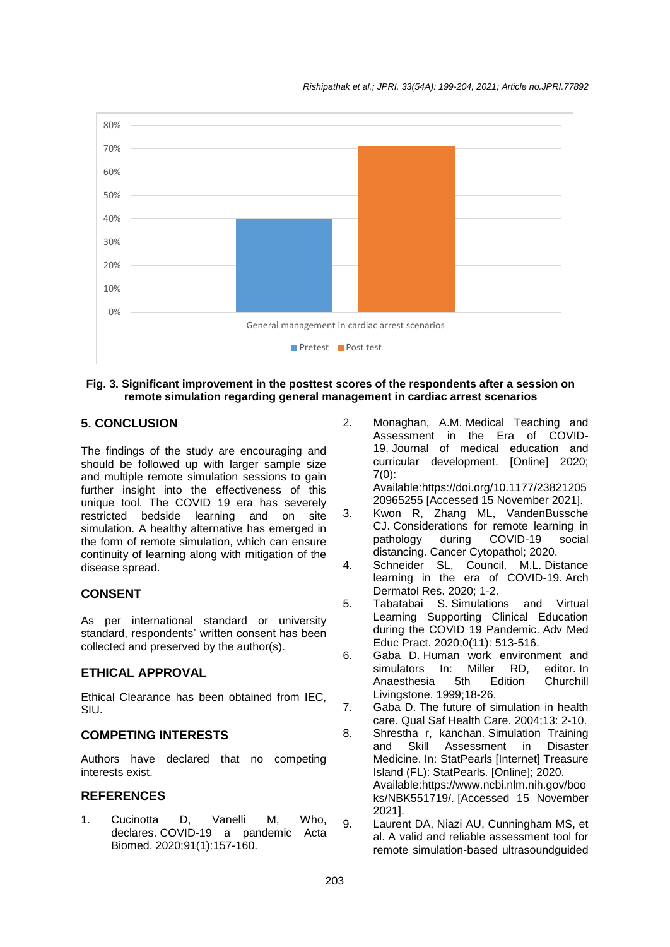*Rishipathak et al.; JPRI, 33(54A): 199-204, 2021; Article no.JPRI.77892*



#### **Fig. 3. Significant improvement in the posttest scores of the respondents after a session on remote simulation regarding general management in cardiac arrest scenarios**

# **5. CONCLUSION**

The findings of the study are encouraging and should be followed up with larger sample size and multiple remote simulation sessions to gain further insight into the effectiveness of this unique tool. The COVID 19 era has severely restricted bedside learning and on site simulation. A healthy alternative has emerged in the form of remote simulation, which can ensure continuity of learning along with mitigation of the disease spread.

# **CONSENT**

As per international standard or university standard, respondents' written consent has been collected and preserved by the author(s).

# **ETHICAL APPROVAL**

Ethical Clearance has been obtained from IEC, SIU.

# **COMPETING INTERESTS**

Authors have declared that no competing interests exist.

# **REFERENCES**

1. Cucinotta D, Vanelli M, Who, declares. COVID-19 a pandemic Acta Biomed. 2020;91(1):157-160.

2. Monaghan, A.M. Medical Teaching and Assessment in the Era of COVID-19. Journal of medical education and curricular development. [Online] 2020; 7(0):

Available:https://doi.org/10.1177/23821205 20965255 [Accessed 15 November 2021].

- 3. Kwon R, Zhang ML, VandenBussche CJ. Considerations for remote learning in pathology during COVID-19 social distancing. Cancer Cytopathol; 2020.
- 4. Schneider SL, Council, M.L. Distance learning in the era of COVID-19. Arch Dermatol Res. 2020; 1-2.
- 5. Tabatabai S. Simulations and Virtual Learning Supporting Clinical Education during the COVID 19 Pandemic. Adv Med Educ Pract. 2020;0(11): 513-516.
- 6. Gaba D. Human work environment and simulators In: Miller RD, editor. In Anaesthesia 5th Edition Churchill Livingstone. 1999;18-26.
- 7. Gaba D. The future of simulation in health care. Qual Saf Health Care. 2004;13: 2-10.
- 8. Shrestha r, kanchan. Simulation Training and Skill Assessment in Disaster Medicine. In: StatPearls [Internet] Treasure Island (FL): StatPearls. [Online]; 2020. Available:https://www.ncbi.nlm.nih.gov/boo ks/NBK551719/. [Accessed 15 November 2021].
- 9. Laurent DA, Niazi AU, Cunningham MS, et al. A valid and reliable assessment tool for remote simulation-based ultrasoundguided